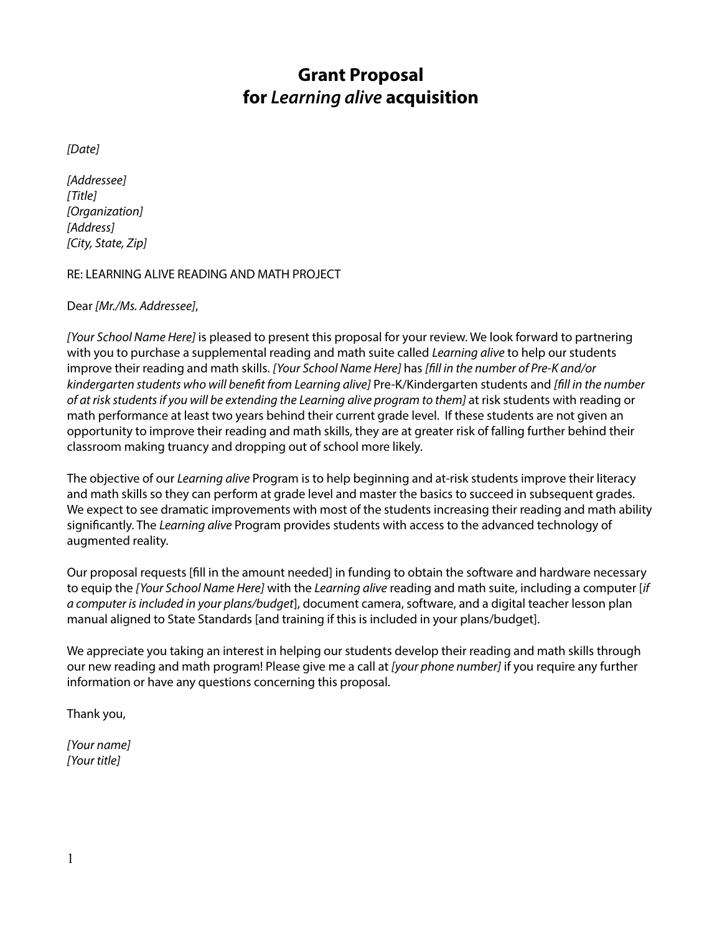# **Grant Proposal for** *Learning alive* **acquisition**

*[Date]*

*[Addressee] [Title] [Organization] [Address] [City, State, Zip]*

#### RE: LEARNING ALIVE READING AND MATH PROJECT

## Dear *[Mr./Ms. Addressee]*,

*[Your School Name Here]* is pleased to present this proposal for your review. We look forward to partnering with you to purchase a supplemental reading and math suite called *Learning alive* to help our students improve their reading and math skills. *[Your School Name Here]* has *[fill in the number of Pre-K and/or kindergarten students who will benefit from Learning alive]* Pre-K/Kindergarten students and *[fill in the number of at risk students if you will be extending the Learning alive program to them]* at risk students with reading or math performance at least two years behind their current grade level. If these students are not given an opportunity to improve their reading and math skills, they are at greater risk of falling further behind their classroom making truancy and dropping out of school more likely.

The objective of our *Learning alive* Program is to help beginning and at-risk students improve their literacy and math skills so they can perform at grade level and master the basics to succeed in subsequent grades. We expect to see dramatic improvements with most of the students increasing their reading and math ability significantly. The *Learning alive* Program provides students with access to the advanced technology of augmented reality.

Our proposal requests [fill in the amount needed] in funding to obtain the software and hardware necessary to equip the *[Your School Name Here]* with the *Learning alive* reading and math suite, including a computer [*if a computer is included in your plans/budget*], document camera, software, and a digital teacher lesson plan manual aligned to State Standards [and training if this is included in your plans/budget].

We appreciate you taking an interest in helping our students develop their reading and math skills through our new reading and math program! Please give me a call at *[your phone number]* if you require any further information or have any questions concerning this proposal.

Thank you,

*[Your name] [Your title]*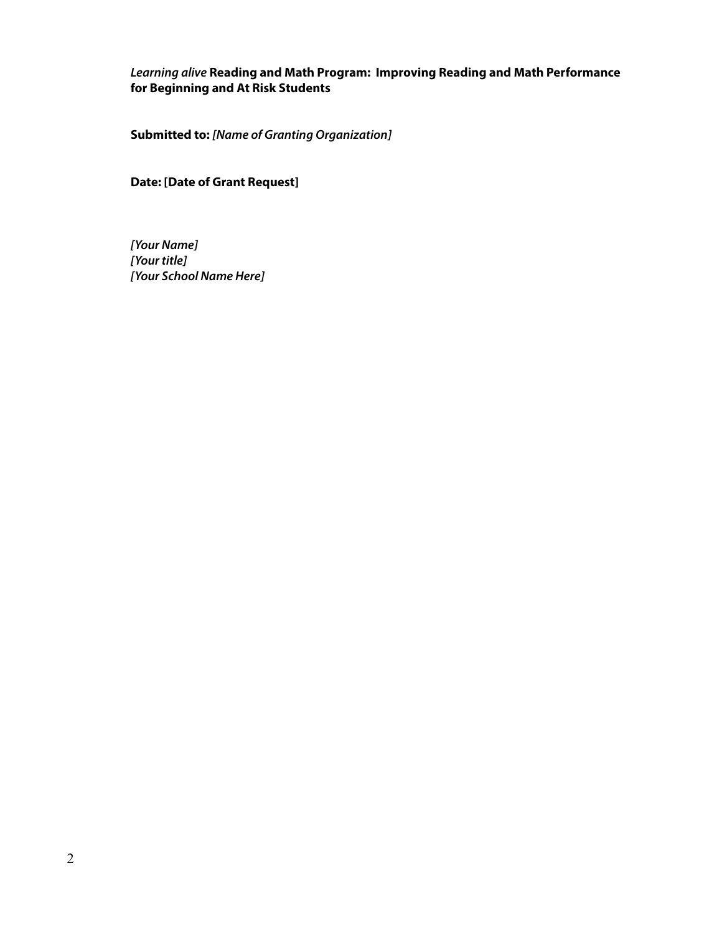## *Learning alive* **Reading and Math Program: Improving Reading and Math Performance for Beginning and At Risk Students**

**Submitted to:** *[Name of Granting Organization]*

# **Date: [Date of Grant Request]**

*[Your Name] [Your title] [Your School Name Here]*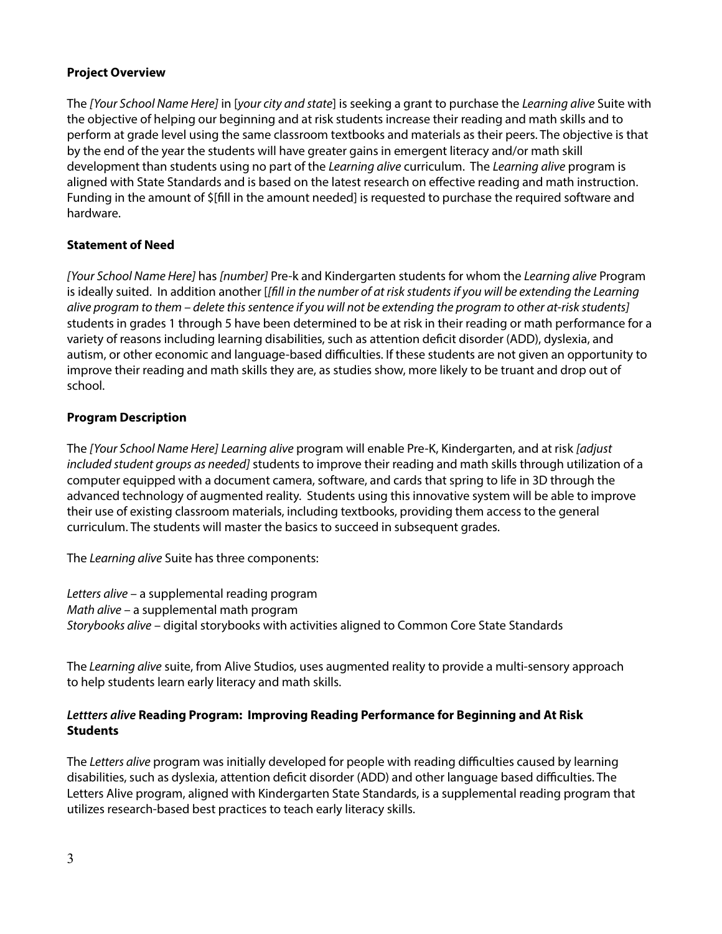## **Project Overview**

The *[Your School Name Here]* in [*your city and state*] is seeking a grant to purchase the *Learning alive* Suite with the objective of helping our beginning and at risk students increase their reading and math skills and to perform at grade level using the same classroom textbooks and materials as their peers. The objective is that by the end of the year the students will have greater gains in emergent literacy and/or math skill development than students using no part of the *Learning alive* curriculum. The *Learning alive* program is aligned with State Standards and is based on the latest research on effective reading and math instruction. Funding in the amount of \$[fill in the amount needed] is requested to purchase the required software and hardware.

# **Statement of Need**

*[Your School Name Here]* has *[number]* Pre-k and Kindergarten students for whom the *Learning alive* Program is ideally suited. In addition another [*[fill in the number of at risk students if you will be extending the Learning alive program to them – delete this sentence if you will not be extending the program to other at-risk students]* students in grades 1 through 5 have been determined to be at risk in their reading or math performance for a variety of reasons including learning disabilities, such as attention deficit disorder (ADD), dyslexia, and autism, or other economic and language-based difficulties. If these students are not given an opportunity to improve their reading and math skills they are, as studies show, more likely to be truant and drop out of school.

# **Program Description**

The *[Your School Name Here] Learning alive* program will enable Pre-K, Kindergarten, and at risk *[adjust included student groups as needed]* students to improve their reading and math skills through utilization of a computer equipped with a document camera, software, and cards that spring to life in 3D through the advanced technology of augmented reality. Students using this innovative system will be able to improve their use of existing classroom materials, including textbooks, providing them access to the general curriculum. The students will master the basics to succeed in subsequent grades.

The *Learning alive* Suite has three components:

*Letters alive* – a supplemental reading program *Math alive* – a supplemental math program *Storybooks alive* – digital storybooks with activities aligned to Common Core State Standards

The *Learning alive* suite, from Alive Studios, uses augmented reality to provide a multi-sensory approach to help students learn early literacy and math skills.

# *Lettters alive* **Reading Program: Improving Reading Performance for Beginning and At Risk Students**

The *Letters alive* program was initially developed for people with reading difficulties caused by learning disabilities, such as dyslexia, attention deficit disorder (ADD) and other language based difficulties. The Letters Alive program, aligned with Kindergarten State Standards, is a supplemental reading program that utilizes research-based best practices to teach early literacy skills.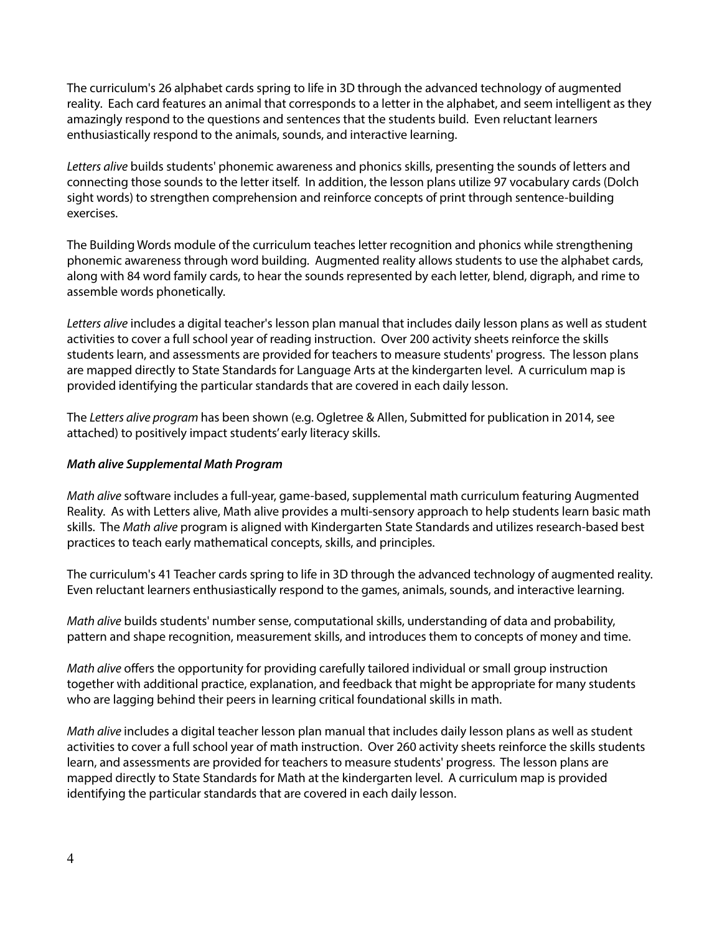The curriculum's 26 alphabet cards spring to life in 3D through the advanced technology of augmented reality. Each card features an animal that corresponds to a letter in the alphabet, and seem intelligent as they amazingly respond to the questions and sentences that the students build. Even reluctant learners enthusiastically respond to the animals, sounds, and interactive learning.

*Letters alive* builds students' phonemic awareness and phonics skills, presenting the sounds of letters and connecting those sounds to the letter itself. In addition, the lesson plans utilize 97 vocabulary cards (Dolch sight words) to strengthen comprehension and reinforce concepts of print through sentence-building exercises.

The Building Words module of the curriculum teaches letter recognition and phonics while strengthening phonemic awareness through word building. Augmented reality allows students to use the alphabet cards, along with 84 word family cards, to hear the sounds represented by each letter, blend, digraph, and rime to assemble words phonetically.

*Letters alive* includes a digital teacher's lesson plan manual that includes daily lesson plans as well as student activities to cover a full school year of reading instruction. Over 200 activity sheets reinforce the skills students learn, and assessments are provided for teachers to measure students' progress. The lesson plans are mapped directly to State Standards for Language Arts at the kindergarten level. A curriculum map is provided identifying the particular standards that are covered in each daily lesson.

The *Letters alive program* has been shown (e.g. Ogletree & Allen, Submitted for publication in 2014, see attached) to positively impact students' early literacy skills.

## *Math alive Supplemental Math Program*

*Math alive* software includes a full-year, game-based, supplemental math curriculum featuring Augmented Reality. As with Letters alive, Math alive provides a multi-sensory approach to help students learn basic math skills. The *Math alive* program is aligned with Kindergarten State Standards and utilizes research-based best practices to teach early mathematical concepts, skills, and principles.

The curriculum's 41 Teacher cards spring to life in 3D through the advanced technology of augmented reality. Even reluctant learners enthusiastically respond to the games, animals, sounds, and interactive learning.

*Math alive* builds students' number sense, computational skills, understanding of data and probability, pattern and shape recognition, measurement skills, and introduces them to concepts of money and time.

*Math alive* offers the opportunity for providing carefully tailored individual or small group instruction together with additional practice, explanation, and feedback that might be appropriate for many students who are lagging behind their peers in learning critical foundational skills in math.

*Math alive* includes a digital teacher lesson plan manual that includes daily lesson plans as well as student activities to cover a full school year of math instruction. Over 260 activity sheets reinforce the skills students learn, and assessments are provided for teachers to measure students' progress. The lesson plans are mapped directly to State Standards for Math at the kindergarten level. A curriculum map is provided identifying the particular standards that are covered in each daily lesson.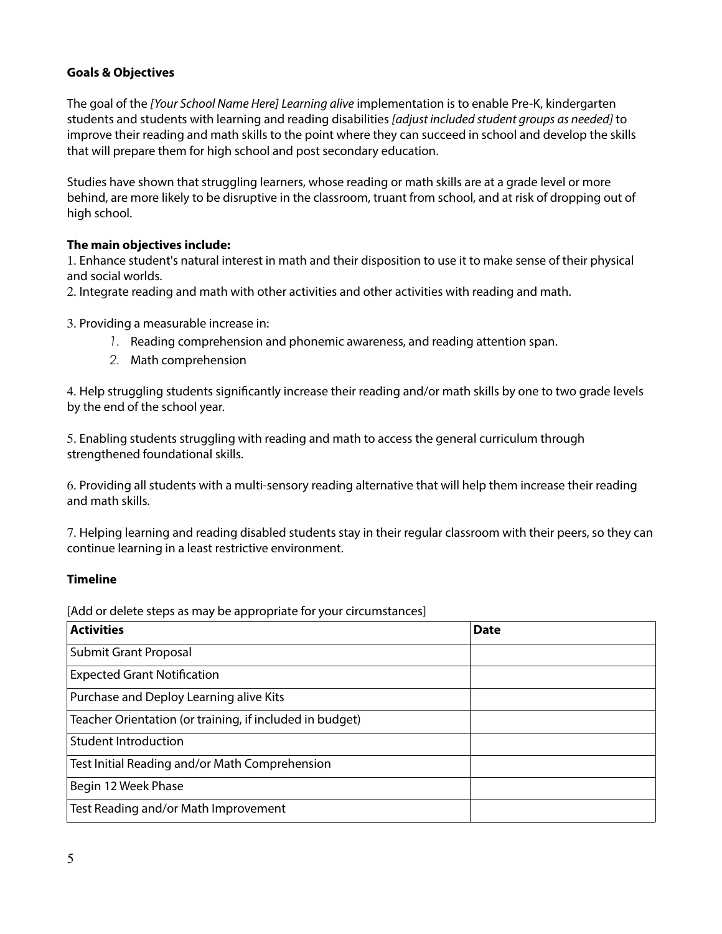## **Goals & Objectives**

The goal of the *[Your School Name Here] Learning alive* implementation is to enable Pre-K, kindergarten students and students with learning and reading disabilities *[adjust included student groups as needed]* to improve their reading and math skills to the point where they can succeed in school and develop the skills that will prepare them for high school and post secondary education.

Studies have shown that struggling learners, whose reading or math skills are at a grade level or more behind, are more likely to be disruptive in the classroom, truant from school, and at risk of dropping out of high school.

# **The main objectives include:**

1. Enhance student's natural interest in math and their disposition to use it to make sense of their physical and social worlds.

2. Integrate reading and math with other activities and other activities with reading and math.

3. Providing a measurable increase in:

- *1.* Reading comprehension and phonemic awareness, and reading attention span.
- *2.* Math comprehension

4. Help struggling students significantly increase their reading and/or math skills by one to two grade levels by the end of the school year.

5. Enabling students struggling with reading and math to access the general curriculum through strengthened foundational skills.

6. Providing all students with a multi-sensory reading alternative that will help them increase their reading and math skills.

7. Helping learning and reading disabled students stay in their regular classroom with their peers, so they can continue learning in a least restrictive environment.

## **Timeline**

[Add or delete steps as may be appropriate for your circumstances]

| <b>Activities</b>                                        | <b>Date</b> |
|----------------------------------------------------------|-------------|
| <b>Submit Grant Proposal</b>                             |             |
| <b>Expected Grant Notification</b>                       |             |
| Purchase and Deploy Learning alive Kits                  |             |
| Teacher Orientation (or training, if included in budget) |             |
| <b>Student Introduction</b>                              |             |
| Test Initial Reading and/or Math Comprehension           |             |
| Begin 12 Week Phase                                      |             |
| Test Reading and/or Math Improvement                     |             |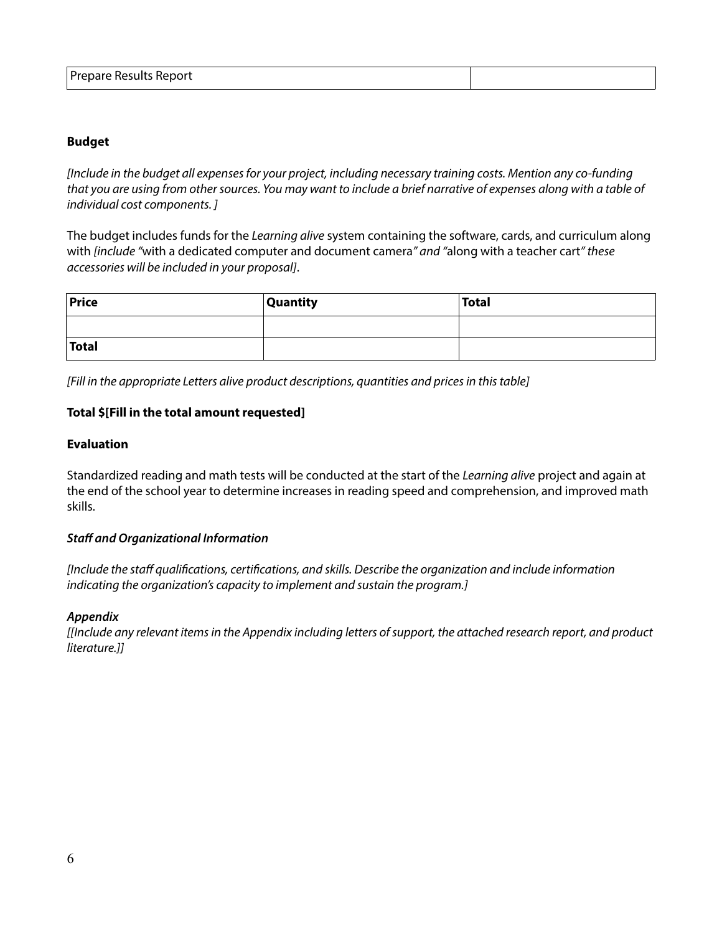#### **Budget**

*[Include in the budget all expenses for your project, including necessary training costs. Mention any co-funding that you are using from other sources. You may want to include a brief narrative of expenses along with a table of individual cost components. ]*

The budget includes funds for the *Learning alive* system containing the software, cards, and curriculum along with *[include "*with a dedicated computer and document camera*" and "*along with a teacher cart*" these accessories will be included in your proposal]*.

| Price | <b>Quantity</b> | <b>Total</b> |
|-------|-----------------|--------------|
|       |                 |              |
| Total |                 |              |

*[Fill in the appropriate Letters alive product descriptions, quantities and prices in this table]*

#### **Total \$[Fill in the total amount requested]**

#### **Evaluation**

Standardized reading and math tests will be conducted at the start of the *Learning alive* project and again at the end of the school year to determine increases in reading speed and comprehension, and improved math skills.

#### *Staff and Organizational Information*

*[Include the staff qualifications, certifications, and skills. Describe the organization and include information indicating the organization's capacity to implement and sustain the program.]*

#### *Appendix*

*[[Include any relevant items in the Appendix including letters of support, the attached research report, and product literature.]]*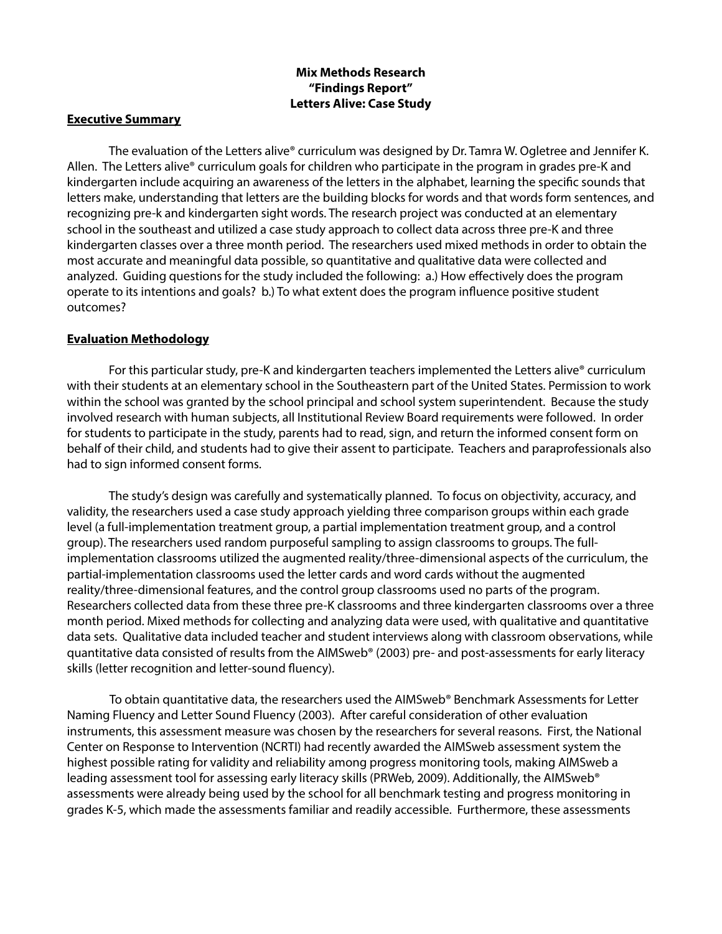# **Mix Methods Research "Findings Report" Letters Alive: Case Study**

#### **Executive Summary**

The evaluation of the Letters alive® curriculum was designed by Dr. Tamra W. Ogletree and Jennifer K. Allen. The Letters alive® curriculum goals for children who participate in the program in grades pre-K and kindergarten include acquiring an awareness of the letters in the alphabet, learning the specific sounds that letters make, understanding that letters are the building blocks for words and that words form sentences, and recognizing pre-k and kindergarten sight words. The research project was conducted at an elementary school in the southeast and utilized a case study approach to collect data across three pre-K and three kindergarten classes over a three month period. The researchers used mixed methods in order to obtain the most accurate and meaningful data possible, so quantitative and qualitative data were collected and analyzed. Guiding questions for the study included the following: a.) How effectively does the program operate to its intentions and goals? b.) To what extent does the program influence positive student outcomes?

## **Evaluation Methodology**

For this particular study, pre-K and kindergarten teachers implemented the Letters alive® curriculum with their students at an elementary school in the Southeastern part of the United States. Permission to work within the school was granted by the school principal and school system superintendent. Because the study involved research with human subjects, all Institutional Review Board requirements were followed. In order for students to participate in the study, parents had to read, sign, and return the informed consent form on behalf of their child, and students had to give their assent to participate. Teachers and paraprofessionals also had to sign informed consent forms.

The study's design was carefully and systematically planned. To focus on objectivity, accuracy, and validity, the researchers used a case study approach yielding three comparison groups within each grade level (a full-implementation treatment group, a partial implementation treatment group, and a control group). The researchers used random purposeful sampling to assign classrooms to groups. The fullimplementation classrooms utilized the augmented reality/three-dimensional aspects of the curriculum, the partial-implementation classrooms used the letter cards and word cards without the augmented reality/three-dimensional features, and the control group classrooms used no parts of the program. Researchers collected data from these three pre-K classrooms and three kindergarten classrooms over a three month period. Mixed methods for collecting and analyzing data were used, with qualitative and quantitative data sets. Qualitative data included teacher and student interviews along with classroom observations, while quantitative data consisted of results from the AIMSweb® (2003) pre- and post-assessments for early literacy skills (letter recognition and letter-sound fluency).

To obtain quantitative data, the researchers used the AIMSweb® Benchmark Assessments for Letter Naming Fluency and Letter Sound Fluency (2003). After careful consideration of other evaluation instruments, this assessment measure was chosen by the researchers for several reasons. First, the National Center on Response to Intervention (NCRTI) had recently awarded the AIMSweb assessment system the highest possible rating for validity and reliability among progress monitoring tools, making AIMSweb a leading assessment tool for assessing early literacy skills (PRWeb, 2009). Additionally, the AIMSweb® assessments were already being used by the school for all benchmark testing and progress monitoring in grades K-5, which made the assessments familiar and readily accessible. Furthermore, these assessments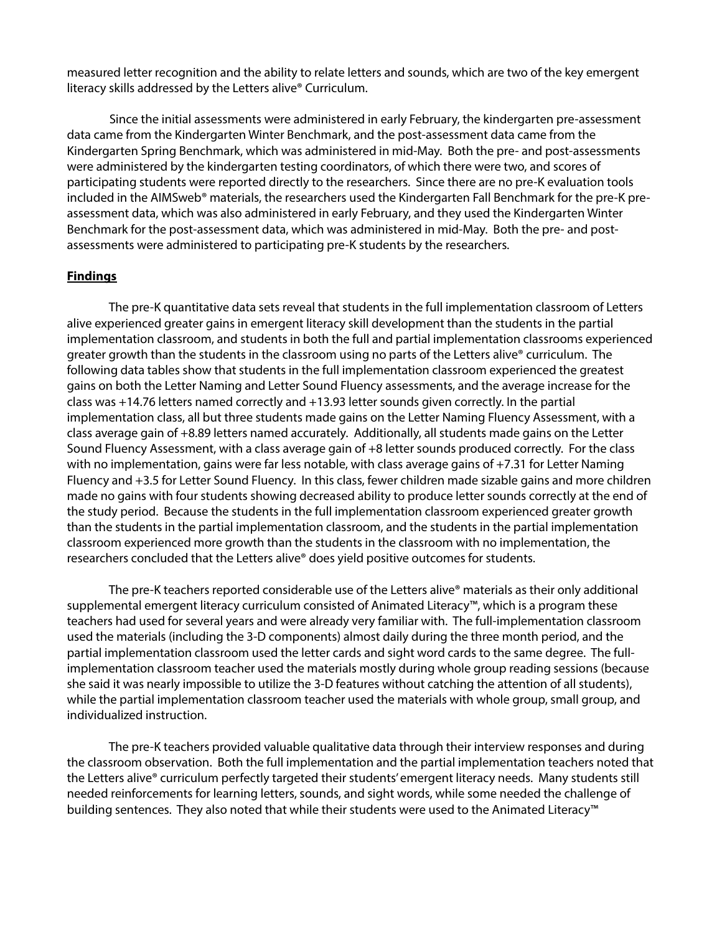measured letter recognition and the ability to relate letters and sounds, which are two of the key emergent literacy skills addressed by the Letters alive® Curriculum.

Since the initial assessments were administered in early February, the kindergarten pre-assessment data came from the Kindergarten Winter Benchmark, and the post-assessment data came from the Kindergarten Spring Benchmark, which was administered in mid-May. Both the pre- and post-assessments were administered by the kindergarten testing coordinators, of which there were two, and scores of participating students were reported directly to the researchers. Since there are no pre-K evaluation tools included in the AIMSweb® materials, the researchers used the Kindergarten Fall Benchmark for the pre-K preassessment data, which was also administered in early February, and they used the Kindergarten Winter Benchmark for the post-assessment data, which was administered in mid-May. Both the pre- and postassessments were administered to participating pre-K students by the researchers.

#### **Findings**

The pre-K quantitative data sets reveal that students in the full implementation classroom of Letters alive experienced greater gains in emergent literacy skill development than the students in the partial implementation classroom, and students in both the full and partial implementation classrooms experienced greater growth than the students in the classroom using no parts of the Letters alive® curriculum. The following data tables show that students in the full implementation classroom experienced the greatest gains on both the Letter Naming and Letter Sound Fluency assessments, and the average increase for the class was +14.76 letters named correctly and +13.93 letter sounds given correctly. In the partial implementation class, all but three students made gains on the Letter Naming Fluency Assessment, with a class average gain of +8.89 letters named accurately. Additionally, all students made gains on the Letter Sound Fluency Assessment, with a class average gain of +8 letter sounds produced correctly. For the class with no implementation, gains were far less notable, with class average gains of +7.31 for Letter Naming Fluency and +3.5 for Letter Sound Fluency. In this class, fewer children made sizable gains and more children made no gains with four students showing decreased ability to produce letter sounds correctly at the end of the study period. Because the students in the full implementation classroom experienced greater growth than the students in the partial implementation classroom, and the students in the partial implementation classroom experienced more growth than the students in the classroom with no implementation, the researchers concluded that the Letters alive® does yield positive outcomes for students.

The pre-K teachers reported considerable use of the Letters alive® materials as their only additional supplemental emergent literacy curriculum consisted of Animated Literacy™, which is a program these teachers had used for several years and were already very familiar with. The full-implementation classroom used the materials (including the 3-D components) almost daily during the three month period, and the partial implementation classroom used the letter cards and sight word cards to the same degree. The fullimplementation classroom teacher used the materials mostly during whole group reading sessions (because she said it was nearly impossible to utilize the 3-D features without catching the attention of all students), while the partial implementation classroom teacher used the materials with whole group, small group, and individualized instruction.

The pre-K teachers provided valuable qualitative data through their interview responses and during the classroom observation. Both the full implementation and the partial implementation teachers noted that the Letters alive® curriculum perfectly targeted their students' emergent literacy needs. Many students still needed reinforcements for learning letters, sounds, and sight words, while some needed the challenge of building sentences. They also noted that while their students were used to the Animated Literacy™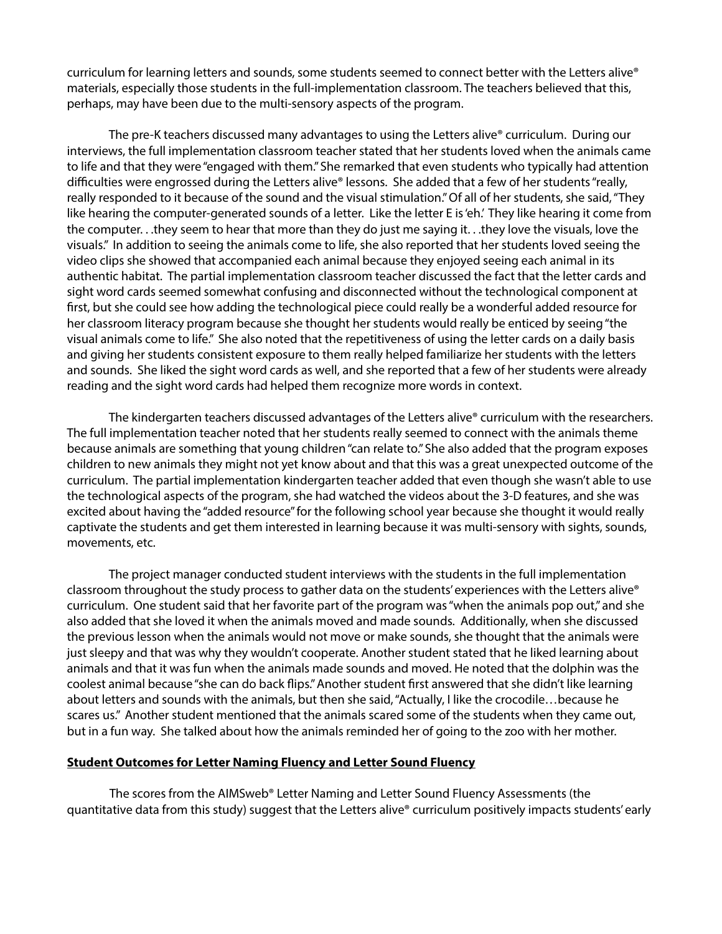curriculum for learning letters and sounds, some students seemed to connect better with the Letters alive® materials, especially those students in the full-implementation classroom. The teachers believed that this, perhaps, may have been due to the multi-sensory aspects of the program.

The pre-K teachers discussed many advantages to using the Letters alive® curriculum. During our interviews, the full implementation classroom teacher stated that her students loved when the animals came to life and that they were "engaged with them." She remarked that even students who typically had attention difficulties were engrossed during the Letters alive® lessons. She added that a few of her students "really, really responded to it because of the sound and the visual stimulation." Of all of her students, she said, "They like hearing the computer-generated sounds of a letter. Like the letter E is 'eh.' They like hearing it come from the computer. . .they seem to hear that more than they do just me saying it. . .they love the visuals, love the visuals." In addition to seeing the animals come to life, she also reported that her students loved seeing the video clips she showed that accompanied each animal because they enjoyed seeing each animal in its authentic habitat. The partial implementation classroom teacher discussed the fact that the letter cards and sight word cards seemed somewhat confusing and disconnected without the technological component at first, but she could see how adding the technological piece could really be a wonderful added resource for her classroom literacy program because she thought her students would really be enticed by seeing "the visual animals come to life." She also noted that the repetitiveness of using the letter cards on a daily basis and giving her students consistent exposure to them really helped familiarize her students with the letters and sounds. She liked the sight word cards as well, and she reported that a few of her students were already reading and the sight word cards had helped them recognize more words in context.

The kindergarten teachers discussed advantages of the Letters alive® curriculum with the researchers. The full implementation teacher noted that her students really seemed to connect with the animals theme because animals are something that young children "can relate to." She also added that the program exposes children to new animals they might not yet know about and that this was a great unexpected outcome of the curriculum. The partial implementation kindergarten teacher added that even though she wasn't able to use the technological aspects of the program, she had watched the videos about the 3-D features, and she was excited about having the "added resource" for the following school year because she thought it would really captivate the students and get them interested in learning because it was multi-sensory with sights, sounds, movements, etc.

The project manager conducted student interviews with the students in the full implementation classroom throughout the study process to gather data on the students' experiences with the Letters alive® curriculum. One student said that her favorite part of the program was "when the animals pop out," and she also added that she loved it when the animals moved and made sounds. Additionally, when she discussed the previous lesson when the animals would not move or make sounds, she thought that the animals were just sleepy and that was why they wouldn't cooperate. Another student stated that he liked learning about animals and that it was fun when the animals made sounds and moved. He noted that the dolphin was the coolest animal because "she can do back flips." Another student first answered that she didn't like learning about letters and sounds with the animals, but then she said, "Actually, I like the crocodile…because he scares us." Another student mentioned that the animals scared some of the students when they came out, but in a fun way. She talked about how the animals reminded her of going to the zoo with her mother.

#### **Student Outcomes for Letter Naming Fluency and Letter Sound Fluency**

The scores from the AIMSweb® Letter Naming and Letter Sound Fluency Assessments (the quantitative data from this study) suggest that the Letters alive® curriculum positively impacts students' early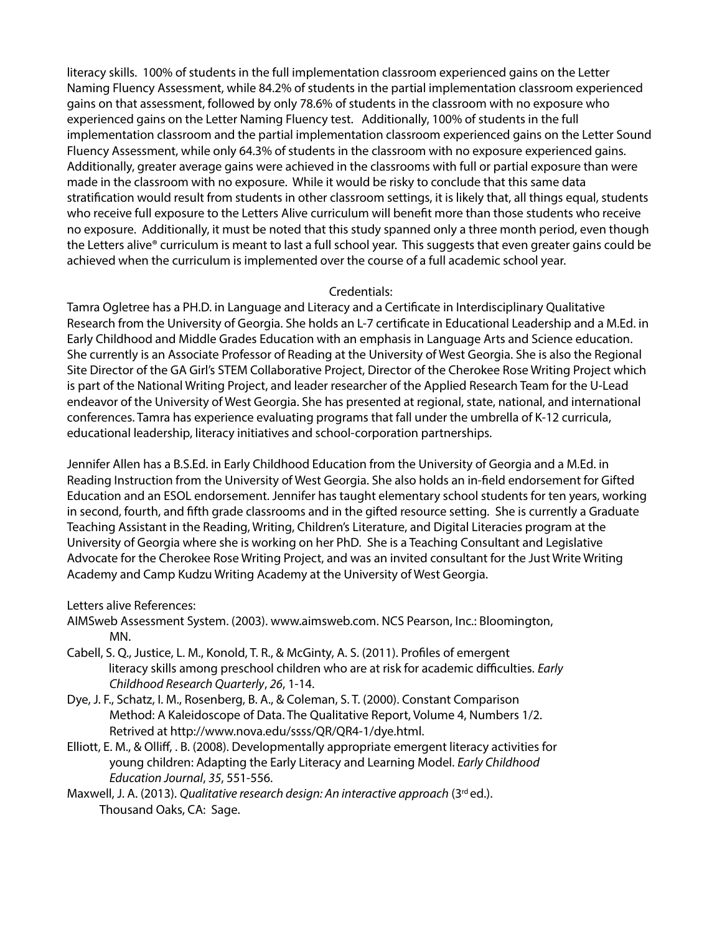literacy skills. 100% of students in the full implementation classroom experienced gains on the Letter Naming Fluency Assessment, while 84.2% of students in the partial implementation classroom experienced gains on that assessment, followed by only 78.6% of students in the classroom with no exposure who experienced gains on the Letter Naming Fluency test. Additionally, 100% of students in the full implementation classroom and the partial implementation classroom experienced gains on the Letter Sound Fluency Assessment, while only 64.3% of students in the classroom with no exposure experienced gains. Additionally, greater average gains were achieved in the classrooms with full or partial exposure than were made in the classroom with no exposure. While it would be risky to conclude that this same data stratification would result from students in other classroom settings, it is likely that, all things equal, students who receive full exposure to the Letters Alive curriculum will benefit more than those students who receive no exposure. Additionally, it must be noted that this study spanned only a three month period, even though the Letters alive® curriculum is meant to last a full school year. This suggests that even greater gains could be achieved when the curriculum is implemented over the course of a full academic school year.

## Credentials:

Tamra Ogletree has a PH.D. in Language and Literacy and a Certificate in Interdisciplinary Qualitative Research from the University of Georgia. She holds an L-7 certificate in Educational Leadership and a M.Ed. in Early Childhood and Middle Grades Education with an emphasis in Language Arts and Science education. She currently is an Associate Professor of Reading at the University of West Georgia. She is also the Regional Site Director of the GA Girl's STEM Collaborative Project, Director of the Cherokee Rose Writing Project which is part of the National Writing Project, and leader researcher of the Applied Research Team for the U-Lead endeavor of the University of West Georgia. She has presented at regional, state, national, and international conferences. Tamra has experience evaluating programs that fall under the umbrella of K-12 curricula, educational leadership, literacy initiatives and school-corporation partnerships.

Jennifer Allen has a B.S.Ed. in Early Childhood Education from the University of Georgia and a M.Ed. in Reading Instruction from the University of West Georgia. She also holds an in-field endorsement for Gifted Education and an ESOL endorsement. Jennifer has taught elementary school students for ten years, working in second, fourth, and fifth grade classrooms and in the gifted resource setting. She is currently a Graduate Teaching Assistant in the Reading, Writing, Children's Literature, and Digital Literacies program at the University of Georgia where she is working on her PhD. She is a Teaching Consultant and Legislative Advocate for the Cherokee Rose Writing Project, and was an invited consultant for the Just Write Writing Academy and Camp Kudzu Writing Academy at the University of West Georgia.

#### Letters alive References:

- AIMSweb Assessment System. (2003). www.aimsweb.com. NCS Pearson, Inc.: Bloomington, MN.
- Cabell, S. Q., Justice, L. M., Konold, T. R., & McGinty, A. S. (2011). Profiles of emergent literacy skills among preschool children who are at risk for academic difficulties. *Early Childhood Research Quarterly*, *26*, 1-14.
- Dye, J. F., Schatz, I. M., Rosenberg, B. A., & Coleman, S. T. (2000). Constant Comparison Method: A Kaleidoscope of Data. The Qualitative Report, Volume 4, Numbers 1/2. Retrived at http://www.nova.edu/ssss/QR/QR4-1/dye.html.
- Elliott, E. M., & Olliff, . B. (2008). Developmentally appropriate emergent literacy activities for young children: Adapting the Early Literacy and Learning Model. *Early Childhood Education Journal*, *35*, 551-556.
- Maxwell, J. A. (2013). *Qualitative research design: An interactive approach* (3rd ed.). Thousand Oaks, CA: Sage.